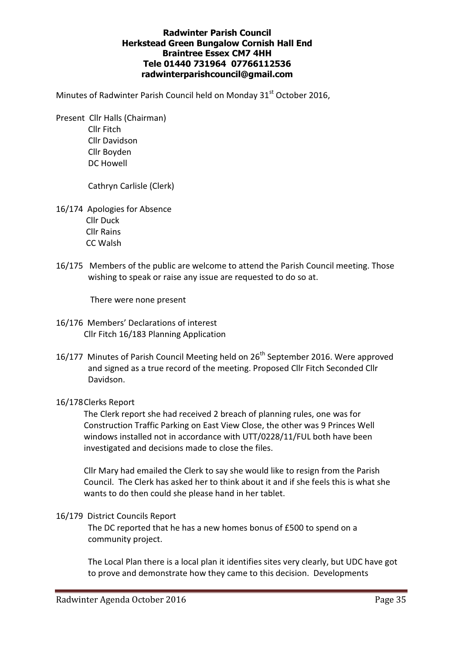# Radwinter Parish Council Herkstead Green Bungalow Cornish Hall End Braintree Essex CM7 4HH Tele 01440 731964 07766112536 radwinterparishcouncil@gmail.com

Minutes of Radwinter Parish Council held on Monday 31<sup>st</sup> October 2016,

 Present Cllr Halls (Chairman) Cllr Fitch Cllr Davidson Cllr Boyden DC Howell

Cathryn Carlisle (Clerk)

- 16/174 Apologies for Absence Cllr Duck Cllr Rains CC Walsh
- 16/175 Members of the public are welcome to attend the Parish Council meeting. Those wishing to speak or raise any issue are requested to do so at.

There were none present

- 16/176 Members' Declarations of interest Cllr Fitch 16/183 Planning Application
- 16/177 Minutes of Parish Council Meeting held on 26<sup>th</sup> September 2016. Were approved and signed as a true record of the meeting. Proposed Cllr Fitch Seconded Cllr Davidson.

## 16/178 Clerks Report

The Clerk report she had received 2 breach of planning rules, one was for Construction Traffic Parking on East View Close, the other was 9 Princes Well windows installed not in accordance with UTT/0228/11/FUL both have been investigated and decisions made to close the files.

Cllr Mary had emailed the Clerk to say she would like to resign from the Parish Council. The Clerk has asked her to think about it and if she feels this is what she wants to do then could she please hand in her tablet.

16/179 District Councils Report

The DC reported that he has a new homes bonus of £500 to spend on a community project.

The Local Plan there is a local plan it identifies sites very clearly, but UDC have got to prove and demonstrate how they came to this decision. Developments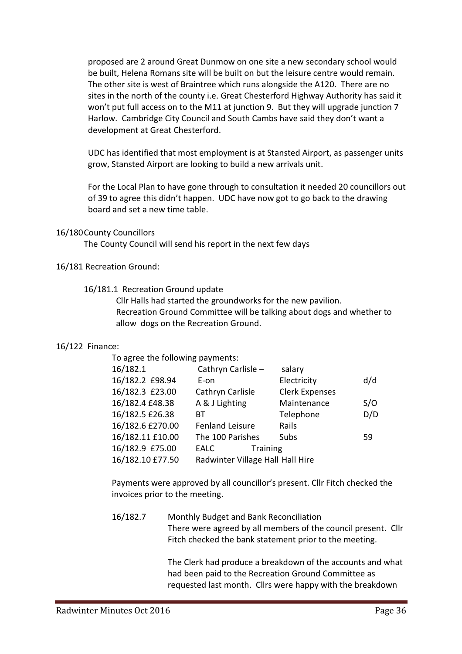proposed are 2 around Great Dunmow on one site a new secondary school would be built, Helena Romans site will be built on but the leisure centre would remain. The other site is west of Braintree which runs alongside the A120. There are no sites in the north of the county i.e. Great Chesterford Highway Authority has said it won't put full access on to the M11 at junction 9. But they will upgrade junction 7 Harlow. Cambridge City Council and South Cambs have said they don't want a development at Great Chesterford.

UDC has identified that most employment is at Stansted Airport, as passenger units grow, Stansted Airport are looking to build a new arrivals unit.

For the Local Plan to have gone through to consultation it needed 20 councillors out of 39 to agree this didn't happen. UDC have now got to go back to the drawing board and set a new time table.

### 16/180 County Councillors

The County Council will send his report in the next few days

16/181 Recreation Ground:

### 16/181.1 Recreation Ground update

 Cllr Halls had started the groundworks for the new pavilion. Recreation Ground Committee will be talking about dogs and whether to allow dogs on the Recreation Ground.

## 16/122 Finance:

To agree the following payments:

| 16/182.1         | Cathryn Carlisle -               | salary                |     |
|------------------|----------------------------------|-----------------------|-----|
| 16/182.2 £98.94  | E-on                             | Electricity           | d/d |
| 16/182.3 £23.00  | Cathryn Carlisle                 | <b>Clerk Expenses</b> |     |
| 16/182.4 £48.38  | A & J Lighting                   | Maintenance           | S/O |
| 16/182.5 £26.38  | ВT                               | Telephone             | D/D |
| 16/182.6 £270.00 | <b>Fenland Leisure</b>           | Rails                 |     |
| 16/182.11 £10.00 | The 100 Parishes                 | Subs                  | 59  |
| 16/182.9 £75.00  | <b>Training</b><br>EALC          |                       |     |
| 16/182.10 £77.50 | Radwinter Village Hall Hall Hire |                       |     |

Payments were approved by all councillor's present. Cllr Fitch checked the invoices prior to the meeting.

 16/182.7 Monthly Budget and Bank Reconciliation There were agreed by all members of the council present. Cllr Fitch checked the bank statement prior to the meeting.

> The Clerk had produce a breakdown of the accounts and what had been paid to the Recreation Ground Committee as requested last month. Cllrs were happy with the breakdown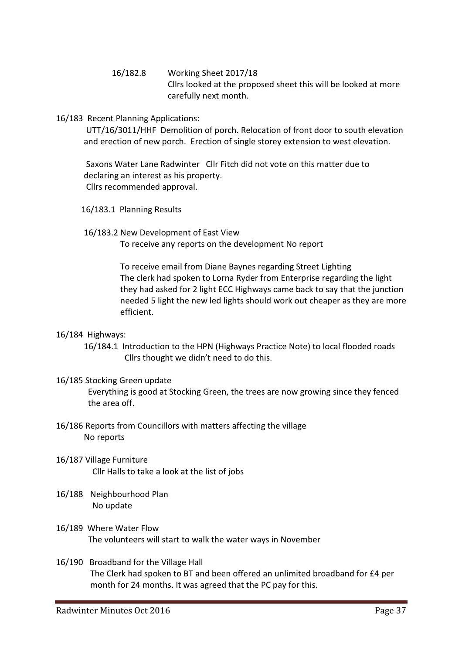- 16/182.8 Working Sheet 2017/18 Cllrs looked at the proposed sheet this will be looked at more carefully next month.
- 16/183 Recent Planning Applications:

UTT/16/3011/HHF Demolition of porch. Relocation of front door to south elevation and erection of new porch. Erection of single storey extension to west elevation.

Saxons Water Lane Radwinter Cllr Fitch did not vote on this matter due to declaring an interest as his property. Cllrs recommended approval.

- 16/183.1 Planning Results
- 16/183.2 New Development of East View To receive any reports on the development No report

 To receive email from Diane Baynes regarding Street Lighting The clerk had spoken to Lorna Ryder from Enterprise regarding the light they had asked for 2 light ECC Highways came back to say that the junction needed 5 light the new led lights should work out cheaper as they are more efficient.

## 16/184 Highways:

 16/184.1 Introduction to the HPN (Highways Practice Note) to local flooded roads Cllrs thought we didn't need to do this.

## 16/185 Stocking Green update

Everything is good at Stocking Green, the trees are now growing since they fenced the area off.

- 16/186 Reports from Councillors with matters affecting the village No reports
- 16/187 Village Furniture Cllr Halls to take a look at the list of jobs
- 16/188 Neighbourhood Plan No update
- 16/189 Where Water Flow The volunteers will start to walk the water ways in November
- 16/190 Broadband for the Village Hall The Clerk had spoken to BT and been offered an unlimited broadband for £4 per month for 24 months. It was agreed that the PC pay for this.